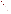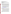**AGENCY:** ENVIRONMENTAL PROTECTION AGENCY (EPA) **TITLE:** "Local-Scale Air Toxics Ambient Monitoring" **ACTION:** Request for Applications (RFA) **RFA NO:** OAR-EMAD-05-16 **CATALOG OF FEDERAL DOMESTIC ASSISTANCE (CFDA) NO:** 66.036 **SUMMARY:** Formal Agency responses to questions/comments regarding the subject solicitation. **DATE:** August 9, 2005

Question 1: There were two tribal grants last year, FY2004, which I believe included the Gila River cooperative project and the Nez Perce Project on Pulp and Paper emissions. I would like to know what these projects entail and how the tribes are implementing them. We would like to submit a project grant app ourselves and would like to get a general idea of what the OAR is looking for in the area of innovative research from tribal air programs. I'm thinking other tribal air folks may be interested as well. Any help would be greatly appreciated.

Answer 1: There were three tribal grants awarded in response to RFA OAR-EMAD-03-08; the Gila River and Salt River Indian Communities are part of the "Phoenix Area Monitoring for the Joint Air Toxics Assessment Project (JATAP)," and the Nez Perce Tribe's "Characterization of Air Toxics Concentrations Around a Kraft Pulp and Paper Mill Facility, Lewiston, Idaho." The workplans for both projects, to include projectspecific contact information, are available at [http://www.epa.gov/ttn/amtic/toxfy04.html.](http://www.epa.gov/ttn/amtic/toxfy04.html)

Question 2: I'd like to get clarification on a couple of issues related to eligibility. First, I want to be sure that state governments/agencies, local governments / agencies, and Federally recognized Tribal governments/agencies are eligible to apply and receive the grants. Second, I want to ask if a subgrant to a university must be competitively bid.

Answer 2: You are correct in your understanding of eligibility. Regarding whether a recipient must compete its subgrants, the Agency certainly encourages competition, but does not / can not require recipients to do so. However, please note the distinction between / differing requirements for acquiring services and products via contract versus establishing a subgrant relationship (see Section II Part E of RFA OAR-EMAD-05-16).

Question 3: The solicitation seems to preclude true partnerships, e.g., between a tribal government and a state university. The solicitation seems to impose a requirement to manage a competition on a tribal government that the tribal government may not have the resources to carry out. Is my reading of the RFP correct?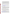Answer 3: The RFA does not preclude an eligible entity from forming a sub-relationship with, as referenced in your question, a state university (Section II Part E of RFA No OAR-EMAD-05-16 states "Subgrants or subawards may be used to fund partnerships with universities, non-profit organizations, or another eligible entity as described in Section III."). Regarding project management responsibilities, a successful recipient must be capable of managing their grant. That said, a recipient may draw upon the experience / expertise of a number of resources to include the EPA Regional Project Officer, the cognizant EPA Grant Specialist, and their own sub-recipient(s) / partner(s), to gain helpful insight in managing their grant.

Question 4: In the RFA for Local-Scale Air Toxics Ambient Monitoring grant solicitation, section D.1 the model QAPP template is not listed at the URL given.

Answer 4: You are correct; the model QAPP template is posted at <http://www.epa.gov/ttn/amtic/airtoxqa.html>under the title "Model QAPP for Local-Scale Monitoring Projects."

Question 5: Is it correct that agencies which received funding under the previous air toxics local-scale monitoring competition (RFA OAR-EMAD-03-08) are not eligible to apply under this solicitation?

Answer 5: Agencies which received funding under the previous air toxics local-scale monitoring competition (RFA OAR-EMAD-03-08) *are* eligible to apply under this solicitation. However, in the interest of capacity building, preference may be afforded to those applicants who did not receive an award under the previous competition, as suggested by the language contained in Section V.B.1 of the RFA.

Question 6: In section I.B.4.b, evaluating air quality models is listed as a justification for community-scale monitoring. Does this mean that EPA might fund some modeling work under this RFA, or will money be used only for monitoring that could be used to validate separately funded modeling efforts?

Answer 6: Monitoring for purposes of evaluating / validating existing air quality models, to include executing model runs as an integral part of the project, may be considered an acceptable objective / justification for community-scale monitoring projects.

Question 7: I've started looking into the grant writing process. I have not written one before. I'm beginning by acquiring information and research. At the URL <http://www.epa.gov/seahome/grants.html>titled EPA Grant-Writing Tutorial, it says: This program is currently being revised to reflect recent changes in EPA policy and is temporarily unavailable for viewing or download from this Web site. A new version of the program should be available here soon. Being summer and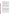having a time-line for grant submittal August 22, and knowing how some things take more time than planned, do you have any idea when this might be back on line? Is this program valuable/needed for this task?

Answer 7: The grant writing tutorial to which you refer is an EPA Region V software package; unfortunately, this program will be unavailable during the open period for this RFA. An alternate resource for your use in developing your application is the EPA's Office of Grants and Debarment URL [\(http://www.epa.gov/ogd/\)](http://www.epa.gov/ogd/). Also, the project plans for grants awarded under the previous year's local-scale monitoring solicitation are available for review at [http://www.epa.gov/ttn/amtic/toxfy04.html.](http://www.epa.gov/ttn/amtic/toxfy04.html)

Question 8: Would a CAFO (hog factory) be considered an air toxic source?

Answer 8: Principle emissions from Animal Feeding Operations (AFOs) include particulate matter, ammonia, hydrogen sulfide, and Volatile Organic Compounds (VOCs). There may be components of the emitted particulate matter (e.g., some metals), as well as some VOCs, that are listed as Hazardous Air Pollutants or HAPs (listing is available at [http://www.epa.gov/ttn/atw/orig189.html\)](http://www.epa.gov/ttn/atw/orig189.html). Though AFOs are considered neither major nor area sources, a variety of agricultural operations, to include AFOs, are being assessed for relevance and significance as HAP sources.

Question 9: Can the grant funds be used to build / outfit and operate a mobile monitoring platform?

Answer 9: Establishing a mobile monitoring platform, in and of itself, does not constitute an acceptable project. If such an activity simply represents the most cost-effective means by which data will be collected (i.e., the equipment and supplies portion of a larger project proposal), it may be acceptable as a project element, but not an entire project. The solicitation is clear in terms of acceptable project categories / broad objectives and criteria against which each proposal will be evaluated; to receive due consideration, an applicant must ensure their proposed project design is consistent with / responsive to the information presented in the RFA.

Question 10: The RFA states that the project period will be 18-24 months. Can you tell me what the likely time-frame is for project approvals and funding to be made available so I can gauge the likely beginning and ending dates of the project period?

Answer 10: The post-selection / pre-award period duration can vary greatly, largely dependent upon the number and degree of administrative, technical, and programmatic matters to be addressed during negotiations between the awarding EPA Region and the prospective grant recipient.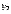That said, we anticipate awards during the  $4<sup>th</sup>$  quarter of CY2005 and 1 $<sup>st</sup>$ </sup> quarter of CY 2006; funding will be made available upon award.

Question 11: Are State Universities eligible to apply for the Local-Scale Air Toxics Ambient Monitoring funding opportunity (RFA No OAR-EMAD-05-16)?

Answer 11: No. However, state universities are eligible as subgrantees under this competition; as stated in Section II Part E of RFA No OAR-EMAD-05-16, "Subgrants or sub-awards may be used to fund partnerships with universities, non-profit organizations, or another eligible entity as described in Section III."

Question 12: Today we have this great application where we have this problem with Air Toxic X at Location Y, and are writing our proposal around that specific problem. Based on our planning etc. with this grant proposal, we don't expect to begin sampling until 1 year after the grant is awarded. By that time the original problem may have subsided because the local and state government has taken actions to resolve the problem. However, we feel confident that there are other very similar problems to address, perhaps involving a different air toxic and a different location, and there could potentially be another "hot spot" that the community gets up in arms about. Could we, one year into the grant, petition EPA to allow us to change the target (i.e. specific air toxic) and the specific location, if we otherwise follow all the original plans?

Answer 12: Given that the total duration of these projects is 18-24 months (to include all data analysis, presentation of results, and final report submitted and accepted), a proposal in which sampling is not expected to begin until a year after the grant is awarded may not be viewed favorably, dependent upon the justification provided in the project plan. Regarding the premise that the original problem for which the application is being submitted may have subsided due to local or state government action, and that "…there could potentially be another "hot spot" that the community gets up in arms about…" likewise may not be viewed favorably. There are many communities with problems for which there is little to no potential for local / state government involvement to address the issue (i.e., the award of a grant from this RFA may represent the only real opportunity to address the matter of concern). Further, the EPA proposal reviewers endeavor to achieve a balanced set of projects via the selection process; a post-award change of focus may result in some form of redundancy, contrary to program objectives. However, one option may be that if evidence such as monitoring data were available prior to the referenced local / state actions, the project emphasis could be to measure the effectiveness of those actions. Finally, a recipient can "…petition EPA to allow us to change the target (i.e. specific air toxic) and the specific location, if we otherwise follow all the original plans." However, this is not a preferred scenario.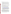Question 13: Is there any funding limitation for equipment installation / maintenance labor costs?

Answer 13: There are no such limitations. Carefully consider, however, in developing your proposal that awards resulting from this RFA must contain all requisite elements of a "complete" project to include data analyses and well-articulated expected outcomes; all applications will be evaluated according to the criteria stated in Section V of RFA OAR-EMAD-05-16.

Question 14: In the section on Evaluation Criteria, the RFA includes "community scale monitoring proposals for areas deemed as high risk per the 1999 NATA" as another factor to consider. How could one get access to the 1999 NATA as I believe that it is not out for public review?

Answer 14: The 1999 NATA state preview release and public release will be widely announced to their intended audiences when they occur.

Question 15: Are state public health departments and, in particular, environmental health departments that conduct community scale health assessments which are based upon environmental data, eligible to apply?

Answer 15: The eligibility was recently amended to clarify eligible recipients [\(http://www.epa.gov/oar/grants/05-16amend01.pdf\)](http://www.epa.gov/oar/grants/05-16amend01.pdf) citing air pollution control agencies, as defined under Section 302(b) of the Clean Air Act, as the eligible recipients. Though state public / environmental health departments are not explicitly referenced, they could be considered eligible if they possess "substantial powers or duties pertaining to the prevention and control of air pollution" and/or are "charged with responsibility for enforcing ordinances or laws relating to the prevention and control of air pollution."

Question 16: We are interested in characterizing emissions of outdoor wood furnaces (OWF). This is an emerging source that has been largely uncharacterized to this point. Assessing concentrations at the flue/stack would be the best way to create pollutant profiles of the source to be used in air quality modeling to determine/approximate downwind impacts. Would a proposal that focused primarily on source characterization by making measurements at the flue/stack, as opposed to just general ambient measurements, be considered?

Answer 16: No. The intent of this solicitation is not to fund projects in which the major activity is source stack testing.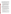Question 17: We are considering proposing a study characterizing near-source ambient wood smoke concentrations (section 1.B.1 of the RFA - Source ID and characterization) from residential wood-fired space-heating sources. But to make sense of the ambient wood smoke data, we need to be able to perform some concurrent "in the field" (not laboratory) source measurements ("stack testing") as a significant part (20%?) of the project. In this context, is stack testing a task that could be funded under this ambient monitoring RFA?

Answer 17: In the context you provided, stack testing is a task that could be funded under this ambient monitoring RFA provided that 1) it is incidental to interpreting ambient data to be collected in the project and is not the primary data collection task, and 2) the project description include a clear and reasonable explanation of how the task output will directly contribute toward achieving both the "Source Identification and Characterization" goals, and the larger programmatic goals (e.g., transferability), as described in the RFA. The proposal should also demonstrate that the source testing is not duplicative of information already available.

Question 18: Our higher education institution is exploring possibilities of integrating air/water monitoring into basic science courses as a way to insure that young students acquire a solid scientific foundation for their interests in environmental advocacy. While an educational purpose is not primary to the EPA, I note that the request for applications stipulates that the grants can support partnerships with higher education institutions. In this context, can undergraduate programs, faculty, or students be funded through this grant?

Answer 18: As you aptly noted, grants *can* support partnerships with higher education institutions, so long as it's for the intended purpose / aimed at meeting program goals (as stated in the RFA). If your proposal intent is, as you seem to have indicated, educational support, then you should not consider this program as a viable funding source as this is not one of the goals / intended uses for these funds.

Question 19: We are planning to partner with a non-profit agency; is it acceptable in our proposed project to allocate a majority of the budget resources to our non-profit agency partner?

Answer19: While the project budget allocation is at the applicant's discretion, please be aware that "Capacity building – whether the applicant proposes to retain a large fraction of the project budget within their agency or a partner air pollution agency…" (Section V.B.1 of the RFA) may be a factor considered in the selection process.

Question 20: In reviewing the RFA and sections of 40 CFR Parts 30 & 31 - it is not clear whether under the rules of a cooperative agreement we can build into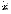the Proposal a Subgrant/subcontract to a University (public) for specific elements of the work that are not readily competitively bid.

Q1. Can we include a subcontract or subgrant to public university for:

a) Laboratory analyses?

b) Field team subsidy (only to offset added labor of additional sample collection)?

Q2. If this is allowed, is there any specific information required to be included in the 12 page proposal (other than a letter of commitment)?

Q3. Can we include a [small] subcontract to the private consultant who has unique expertise (the lead exposure modeler for the health study)?

Q4. Can we include a [small] subcontract to an expert at a private university?

Answer 20: You indeed may form a partnership (i.e., non-competed) with a public university. The specific answers are as follows:

1. A subgrant (not a subcontract as this would be acquisition) is allowable; the activities cited in both a. and b. are allowable.

2. Section IV Part B.2.g.7, states "a description of the roles of the applicant and partners, if applicable." What this means for you is identify which participating entity will be responsible for each aspect of the project plan. Further, note that Section IV Part B.3 calls for a "Detailed Itemized Budget. Provide a budget for the following categories, specifying unit costs..." The applicant's budget need include the total "Contractual costs"; a detailed itemized budget need be included for each participating entity (note that the sum of the subgrant and subcontract budgets must equal what the applicant shows in "contractual costs").

3 and 4. You're certainly allowed to have subcontractual relationships. Regarding the rules you must follow in establishing and executing these relationships, I refer you to 40 CFR Part 31.36(b)(1), procurement standards, which states "Grantees and subgrantees will use their own procurement procedures which reflect applicable State and local laws and regulations, provided that the procurements conform to applicable federal law, the standards identified in this section, and if applicable, § 31.38." I recommend you work, at your earliest convenience, with the applicant organization's contract administration staff on this matter.

Question 21: I have a question about how to tailor the proposal that we eventually submit for this RFA. Specifically, for the first phase of the monitoring project we are completing for EPA we committed to monitor once every twelve days. We are aware that the preference seems to be that sampling be conducted once every six days. The problem is that the labs doing the analysis charge so much per sample that it drives the overall price of the proposal so high that it's difficult to be competitive. For example, if the ceiling on the grant is a maximum of \$500,000, as in this case, and the lab wants close to \$400,000 to analyze samples, it makes it very difficult to propose something that's likely to be successful. In order to deal with this, we have considered submitting a proposal